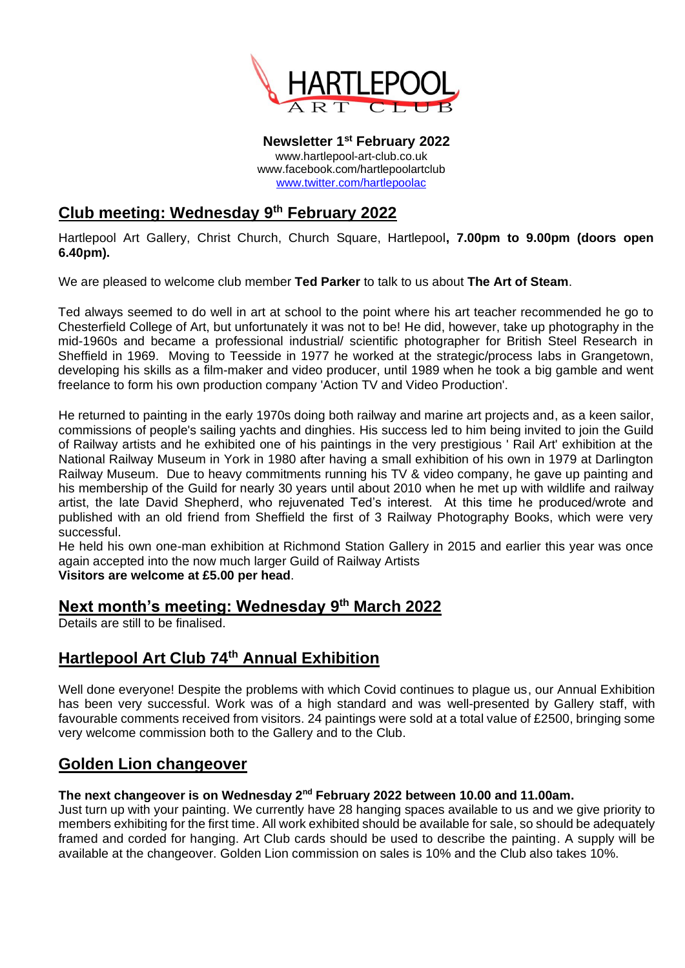

**Newsletter 1 st February 2022** www.hartlepool-art-club.co.uk www.facebook.com/hartlepoolartclub [www.twitter.com/hartlepoolac](http://www.twitter.com/hartlepoolac)

# **Club meeting: Wednesday 9 th February 2022**

Hartlepool Art Gallery, Christ Church, Church Square, Hartlepool**, 7.00pm to 9.00pm (doors open 6.40pm).**

We are pleased to welcome club member **Ted Parker** to talk to us about **The Art of Steam**.

Ted always seemed to do well in art at school to the point where his art teacher recommended he go to Chesterfield College of Art, but unfortunately it was not to be! He did, however, take up photography in the mid-1960s and became a professional industrial/ scientific photographer for British Steel Research in Sheffield in 1969. Moving to Teesside in 1977 he worked at the strategic/process labs in Grangetown, developing his skills as a film-maker and video producer, until 1989 when he took a big gamble and went freelance to form his own production company 'Action TV and Video Production'.

He returned to painting in the early 1970s doing both railway and marine art projects and, as a keen sailor, commissions of people's sailing yachts and dinghies. His success led to him being invited to join the Guild of Railway artists and he exhibited one of his paintings in the very prestigious ' Rail Art' exhibition at the National Railway Museum in York in 1980 after having a small exhibition of his own in 1979 at Darlington Railway Museum. Due to heavy commitments running his TV & video company, he gave up painting and his membership of the Guild for nearly 30 years until about 2010 when he met up with wildlife and railway artist, the late David Shepherd, who rejuvenated Ted's interest. At this time he produced/wrote and published with an old friend from Sheffield the first of 3 Railway Photography Books, which were very successful.

He held his own one-man exhibition at Richmond Station Gallery in 2015 and earlier this year was once again accepted into the now much larger Guild of Railway Artists

**Visitors are welcome at £5.00 per head**.

## **Next month's meeting: Wednesday 9 th March 2022**

Details are still to be finalised.

# **Hartlepool Art Club 74th Annual Exhibition**

Well done everyone! Despite the problems with which Covid continues to plague us, our Annual Exhibition has been very successful. Work was of a high standard and was well-presented by Gallery staff, with favourable comments received from visitors. 24 paintings were sold at a total value of £2500, bringing some very welcome commission both to the Gallery and to the Club.

### **Golden Lion changeover**

#### **The next changeover is on Wednesday 2nd February 2022 between 10.00 and 11.00am.**

Just turn up with your painting. We currently have 28 hanging spaces available to us and we give priority to members exhibiting for the first time. All work exhibited should be available for sale, so should be adequately framed and corded for hanging. Art Club cards should be used to describe the painting. A supply will be available at the changeover. Golden Lion commission on sales is 10% and the Club also takes 10%.